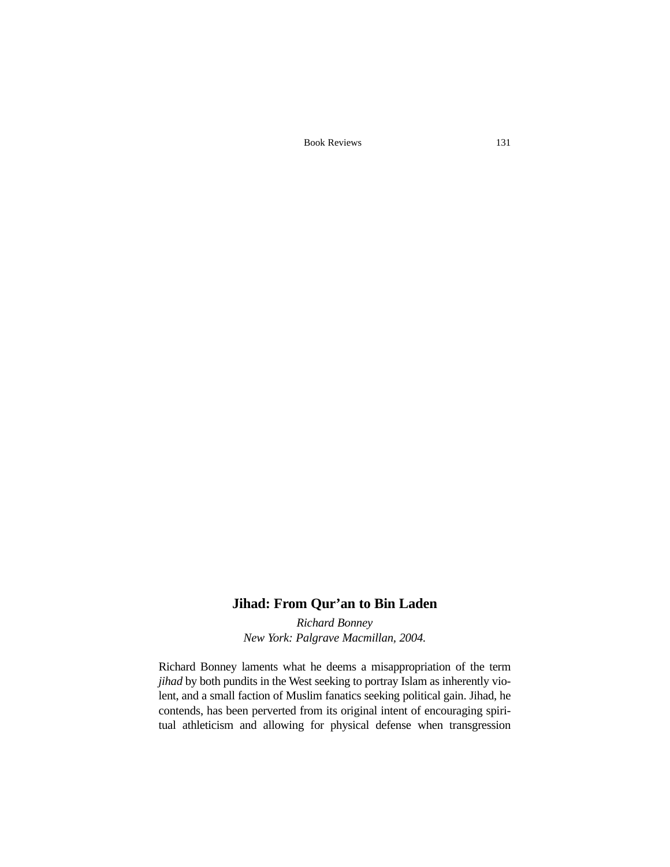Book Reviews 131

## **Jihad: From Qur'an to Bin Laden**

*Richard Bonney New York: Palgrave Macmillan, 2004.*

Richard Bonney laments what he deems a misappropriation of the term *jihad* by both pundits in the West seeking to portray Islam as inherently violent, and a small faction of Muslim fanatics seeking political gain. Jihad, he contends, has been perverted from its original intent of encouraging spiritual athleticism and allowing for physical defense when transgression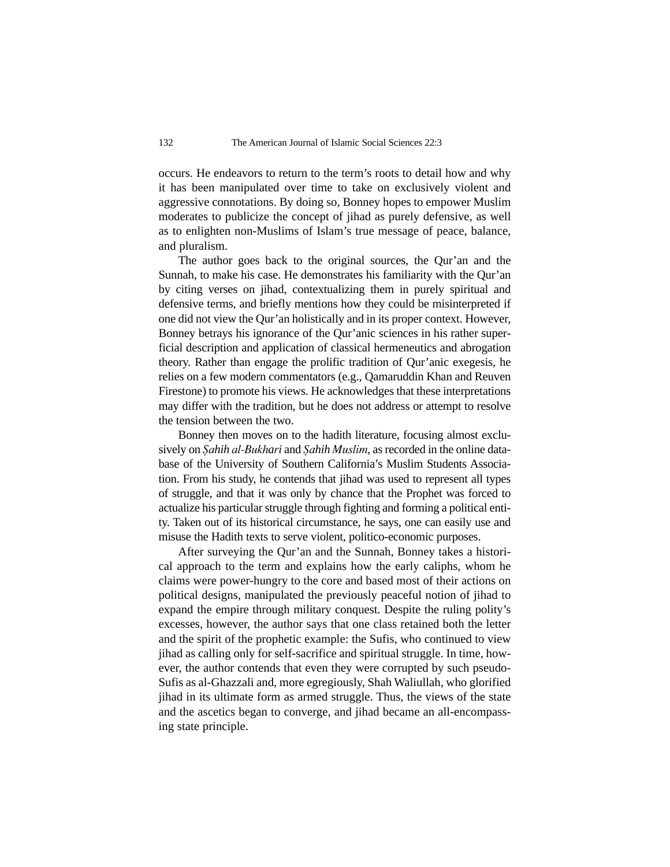occurs. He endeavors to return to the term's roots to detail how and why it has been manipulated over time to take on exclusively violent and aggressive connotations. By doing so, Bonney hopes to empower Muslim moderates to publicize the concept of jihad as purely defensive, as well as to enlighten non-Muslims of Islam's true message of peace, balance, and pluralism.

The author goes back to the original sources, the Qur'an and the Sunnah, to make his case. He demonstrates his familiarity with the Qur'an by citing verses on jihad, contextualizing them in purely spiritual and defensive terms, and briefly mentions how they could be misinterpreted if one did not view the Qur'an holistically and in its proper context. However, Bonney betrays his ignorance of the Qur'anic sciences in his rather superficial description and application of classical hermeneutics and abrogation theory. Rather than engage the prolific tradition of Qur'anic exegesis, he relies on a few modern commentators (e.g., Qamaruddin Khan and Reuven Firestone) to promote his views. He acknowledges that these interpretations may differ with the tradition, but he does not address or attempt to resolve the tension between the two.

Bonney then moves on to the hadith literature, focusing almost exclusively on *êahih al-Bukhari* and *êahih Muslim*, as recorded in the online database of the University of Southern California's Muslim Students Association. From his study, he contends that jihad was used to represent all types of struggle, and that it was only by chance that the Prophet was forced to actualize his particular struggle through fighting and forming a political entity. Taken out of its historical circumstance, he says, one can easily use and misuse the Hadith texts to serve violent, politico-economic purposes.

After surveying the Qur'an and the Sunnah, Bonney takes a historical approach to the term and explains how the early caliphs, whom he claims were power-hungry to the core and based most of their actions on political designs, manipulated the previously peaceful notion of jihad to expand the empire through military conquest. Despite the ruling polity's excesses, however, the author says that one class retained both the letter and the spirit of the prophetic example: the Sufis, who continued to view jihad as calling only for self-sacrifice and spiritual struggle. In time, however, the author contends that even they were corrupted by such pseudo-Sufis as al-Ghazzali and, more egregiously, Shah Waliullah, who glorified jihad in its ultimate form as armed struggle. Thus, the views of the state and the ascetics began to converge, and jihad became an all-encompassing state principle.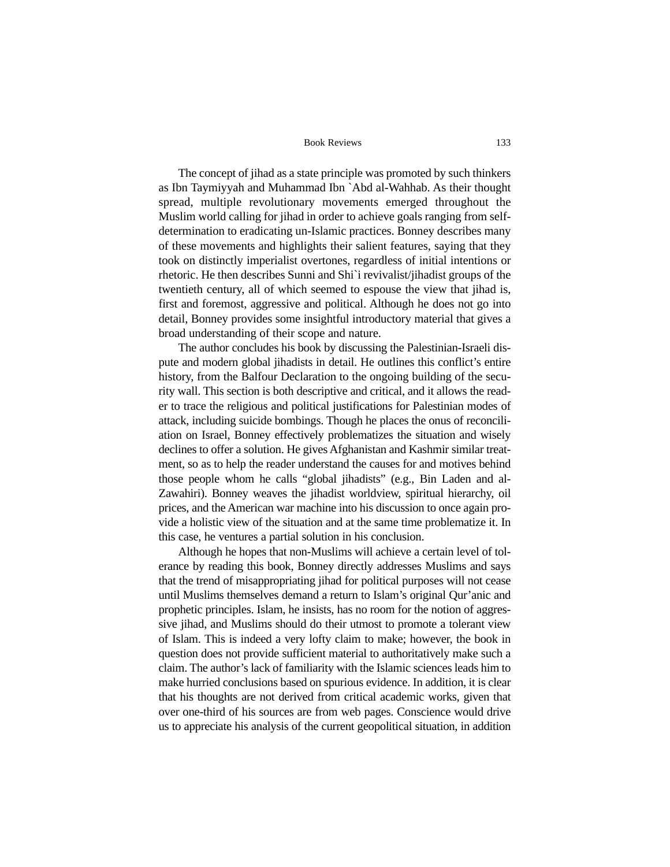## Book Reviews 133

The concept of jihad as a state principle was promoted by such thinkers as Ibn Taymiyyah and Muhammad Ibn `Abd al-Wahhab. As their thought spread, multiple revolutionary movements emerged throughout the Muslim world calling for jihad in order to achieve goals ranging from selfdetermination to eradicating un-Islamic practices. Bonney describes many of these movements and highlights their salient features, saying that they took on distinctly imperialist overtones, regardless of initial intentions or rhetoric. He then describes Sunni and Shi`i revivalist/jihadist groups of the twentieth century, all of which seemed to espouse the view that jihad is, first and foremost, aggressive and political. Although he does not go into detail, Bonney provides some insightful introductory material that gives a broad understanding of their scope and nature.

The author concludes his book by discussing the Palestinian-Israeli dispute and modern global jihadists in detail. He outlines this conflict's entire history, from the Balfour Declaration to the ongoing building of the security wall. This section is both descriptive and critical, and it allows the reader to trace the religious and political justifications for Palestinian modes of attack, including suicide bombings. Though he places the onus of reconciliation on Israel, Bonney effectively problematizes the situation and wisely declines to offer a solution. He gives Afghanistan and Kashmir similar treatment, so as to help the reader understand the causes for and motives behind those people whom he calls "global jihadists" (e.g., Bin Laden and al-Zawahiri). Bonney weaves the jihadist worldview, spiritual hierarchy, oil prices, and the American war machine into his discussion to once again provide a holistic view of the situation and at the same time problematize it. In this case, he ventures a partial solution in his conclusion.

Although he hopes that non-Muslims will achieve a certain level of tolerance by reading this book, Bonney directly addresses Muslims and says that the trend of misappropriating jihad for political purposes will not cease until Muslims themselves demand a return to Islam's original Qur'anic and prophetic principles. Islam, he insists, has no room for the notion of aggressive jihad, and Muslims should do their utmost to promote a tolerant view of Islam. This is indeed a very lofty claim to make; however, the book in question does not provide sufficient material to authoritatively make such a claim. The author's lack of familiarity with the Islamic sciences leads him to make hurried conclusions based on spurious evidence. In addition, it is clear that his thoughts are not derived from critical academic works, given that over one-third of his sources are from web pages. Conscience would drive us to appreciate his analysis of the current geopolitical situation, in addition